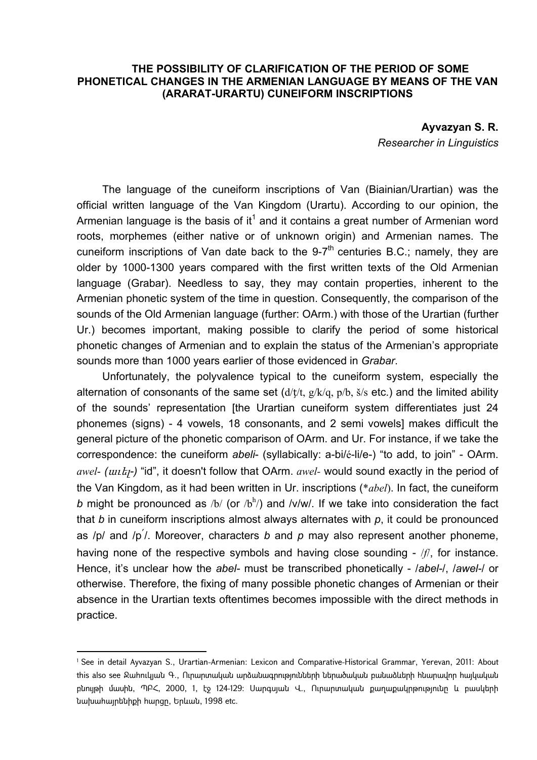## **THE POSSIBILITY OF CLARIFICATION OF THE PERIOD OF SOME PHONETICAL CHANGES IN THE ARMENIAN LANGUAGE BY MEANS OF THE VAN (ARARAT-URARTU) CUNEIFORM INSCRIPTIONS**

**Ayvazyan S. R.** 

*Researcher in Linguistics* 

The language of the cuneiform inscriptions of Van (Biainian/Urartian) was the official written language of the Van Kingdom (Urartu). According to our opinion, the Armenian language is the basis of it<sup>1</sup> and it contains a great number of Armenian word roots, morphemes (either native or of unknown origin) and Armenian names. The cuneiform inscriptions of Van date back to the  $9-7<sup>th</sup>$  centuries B.C.; namely, they are older by 1000-1300 years compared with the first written texts of the Old Armenian language (Grabar). Needless to say, they may contain properties, inherent to the Armenian phonetic system of the time in question. Consequently, the comparison of the sounds of the Old Armenian language (further: OArm.) with those of the Urartian (further Ur.) becomes important, making possible to clarify the period of some historical phonetic changes of Armenian and to explain the status of the Armenian's appropriate sounds more than 1000 years earlier of those evidenced in *Grabar*.

Unfortunately, the polyvalence typical to the cuneiform system, especially the alternation of consonants of the same set  $\frac{d}{t}$ ,  $\frac{g}{k}$ ,  $\frac{g}{k}$ ,  $\frac{g}{k}$ ,  $\frac{s}{s}$  etc.) and the limited ability of the sounds' representation [the Urartian cuneiform system differentiates just 24 phonemes (signs) - 4 vowels, 18 consonants, and 2 semi vowels] makes difficult the general picture of the phonetic comparison of OArm. and Ur. For instance, if we take the correspondence: the cuneiform *abeli*- (syllabically: a-bi/é-li/e-) "to add, to join" - OArm. *awel*- *(*աւել*-)* "id", it doesn't follow that OArm. *awel-* would sound exactly in the period of the Van Kingdom, as it had been written in Ur. inscriptions (\**abel*). In fact, the cuneiform b might be pronounced as /b/ (or /bh/) and /v/w/. If we take into consideration the fact that *b* in cuneiform inscriptions almost always alternates with *p*, it could be pronounced as /p/ and /p՛/. Moreover, characters *b* and *p* may also represent another phoneme, having none of the respective symbols and having close sounding - /*f*/, for instance. Hence, it's unclear how the *abel-* must be transcribed phonetically - /*abel-*/, /*awel-*/ or otherwise. Therefore, the fixing of many possible phonetic changes of Armenian or their absence in the Urartian texts oftentimes becomes impossible with the direct methods in practice.

 $\overline{a}$ 

<sup>1</sup> See in detail Ayvazyan S., Urartian-Armenian: Lexicon and Comparative-Historical Grammar, Yerevan, 2011: About this also see Ջահուկյան Գ., Ուրարտական արձանագրությունների ներածական բանաձևերի հնարավոր հայկական բնույթի մասին, ՊԲՀ, 2000, 1, էջ 124-129: Սարգսյան Վ., Ուրարտական քաղաքակրթությունը և բասկերի նախահայրենիքի հարցը, Երևան, 1998 etc.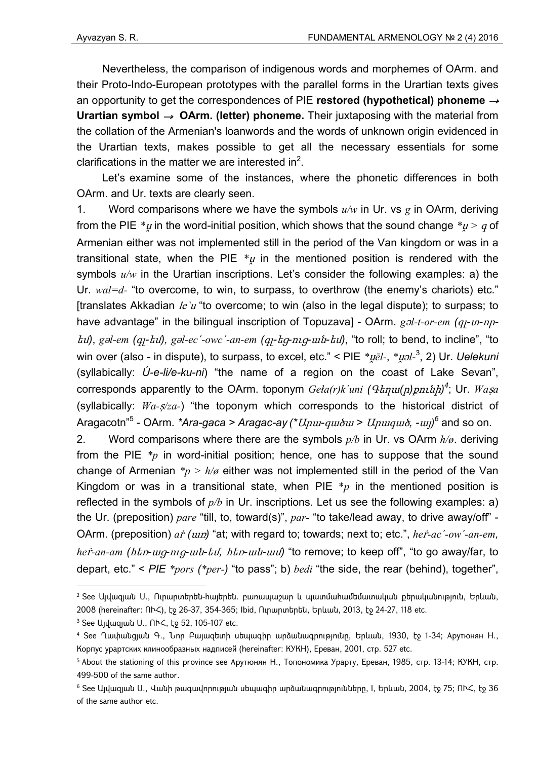Nevertheless, the comparison of indigenous words and morphemes of OArm. and their Proto-Indo-European prototypes with the parallel forms in the Urartian texts gives an opportunity to get the correspondences of PIE **restored (hypothetical) phoneme** <sup>→</sup> **Urartian symbol**  $\rightarrow$  **OArm. (letter) phoneme.** Their juxtaposing with the material from the collation of the Armenian's loanwords and the words of unknown origin evidenced in the Urartian texts, makes possible to get all the necessary essentials for some clarifications in the matter we are interested in<sup>2</sup>.

Let's examine some of the instances, where the phonetic differences in both OArm. and Ur. texts are clearly seen.

1. Word comparisons where we have the symbols *u/w* in Ur. vs *g* in OArm, deriving from the PIE  $*_{\mathfrak{U}}$  in the word-initial position, which shows that the sound change  $*_{\mathfrak{U}}>q$  of Armenian either was not implemented still in the period of the Van kingdom or was in a transitional state, when the PIE *\**ṷ in the mentioned position is rendered with the symbols *u/w* in the Urartian inscriptions. Let's consider the following examples: a) the Ur. *wal=d-* "to overcome, to win, to surpass, to overthrow (the enemy's chariots) etc." [translates Akkadian  $le'u$  "to overcome; to win (also in the legal dispute); to surpass; to have advantage" in the bilingual inscription of Topuzava] - OArm. *g*ǝ*l-t-or-em (*գլ*-*տ*-*որեմ*)*, *g*ǝ*l-em (*գլ*-*եմ*), g*ǝ*l-ec´-owc´-an-em (*գլ*-*եց*-*ուց*-*ան*-*եմ*)*, "to roll; to bend, to incline", "to win over (also - in dispute), to surpass, to excel, etc." < PIE *\**ṷ*ēl-*, *\**ṷǝ*l*-3 , 2) Ur. *Uelekuni*  (syllabically: *Ú-e-li/e-ku-ni*) "the name of a region on the coast of Lake Sevan", corresponds apparently to the OArm. toponym *Geła(r)k´uni (*Գեղա*(*ր*)*քունի*) 4* ; Ur. *Wa*ṣ*a* (syllabically: *Wa-*ṣ*/za-*) "the toponym which corresponds to the historical district of Aragacotn"<sup>5</sup> - OArm. *\*Ara-gaca > Aragac-ay (\**Արա*-*գածա *>* Արագած*, -*այ*) 6* and so on.

2. Word comparisons where there are the symbols *p/b* in Ur. vs OArm *h/ø*. deriving from the PIE *\*p* in word-initial position; hence, one has to suppose that the sound change of Armenian *\*p > h/ø* either was not implemented still in the period of the Van Kingdom or was in a transitional state, when  $PIE * p$  in the mentioned position is reflected in the symbols of  $p/b$  in Ur. inscriptions. Let us see the following examples: a) the Ur. (preposition) *pare* "till, to, toward(s)", *par*- "to take/lead away, to drive away/off" - OArm. (preposition) *a*ṙ *(*առ*)* "at; with regard to; towards; next to; etc.", *he*ṙ*-ac´-ow´-an-em, he*ṙ*-an-am (*հեռ*-*աց*-*ուց*-*ան*-*եմ*,* հեռ*-*ան*-*ամ*)* "to remove; to keep off", "to go away/far, to depart, etc." < *PIE \*pors (\*per-)* "to pass"; b) *bedi* "the side, the rear (behind), together",

 $2$  See Ալվազյան Ս., Ուրարտերեն-հայերեն. բառապաշար և պատմահամեմատական քերականություն, Երևան, 2008 (hereinafter: ՈՒՀ), էջ 26-37, 354-365; Ibid, Ուրարտերեն, Երևան, 2013, էջ 24-27, 118 etc.

<sup>3</sup> See Այվազյան Ս., ՈՒՀ, էջ 52, 105-107 etc.

<sup>4</sup> See Ղափանցյան Գ., Նոր Բայազետի սեպագիր արձանագրությունը, Երևան, 1930, էջ 1-34; Арутюнян Н., Корпус урартских клинообразных надписей (hereinafter: КУКН), Ереван, 2001, стр. 527 etc.

<sup>5</sup> About the stationing of this province see Арутюнян Н., Топономика Урарту, Ереван, 1985, стр. 13-14; КУКН, стр. 499-500 of the same author.

<sup>6</sup> See Այվազյան Ս., Վանի թագավորության սեպագիր արձանագրությունները, I, Երևան, 2004, էջ 75; ՈՒՀ, էջ 36 of the same author etc.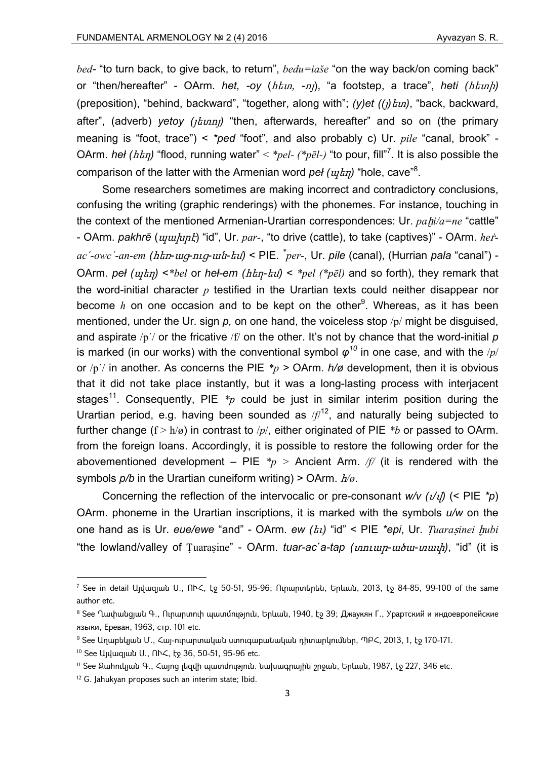*bed-* "to turn back, to give back, to return", *bedu=iaše* "on the way back/on coming back" or "then/hereafter" - OArm. *het, -oy* (հետ*, -*ոյ), "a footstep, a trace", *heti (*հետի*)* (preposition), "behind, backward", "together, along with"; *(y)et ((*յ*)*ետ*)*, "back, backward, after", (adverb) *yetoy (*յետոյ*)* "then, afterwards, hereafter" and so on (the primary meaning is "foot, trace") < *\*ped* "foot", and also probably c) Ur. *pile* "canal, brook" - OArm. *heł (*հեղ*)* "flood, running water" < *\*pel- (\*pēl-)* "to pour, fill"<sup>7</sup> . It is also possible the comparison of the latter with the Armenian word *peł (*պեղ*)* "hole, cave"8 .

Some researchers sometimes are making incorrect and contradictory conclusions, confusing the writing (graphic renderings) with the phonemes. For instance, touching in the context of the mentioned Armenian-Urartian correspondences: Ur. *pa*ḫ*i/a=ne* "cattle" - OArm. *pakhrē* (պախրէ) "id", Ur. *par-*, "to drive (cattle), to take (captives)" - OArm. *he*ṙ*ac´-owc´-an-em (*հեռ*-*աց*-*ուց*-*ան*-*եմ*)* < PIE. *\* per-*, Ur. *pile* (canal), (Hurrian *pala* "canal") - OArm. *peł (*պեղ*)* <*\*bel* or *heł-em (*հեղ*-*եմ*)* < *\*pel (\*pēl)* and so forth), they remark that the word-initial character *p* testified in the Urartian texts could neither disappear nor become  $h$  on one occasion and to be kept on the other<sup>9</sup>. Whereas, as it has been mentioned, under the Ur. sign *p,* on one hand, the voiceless stop /p/ might be disguised, and aspirate /p´/ or the fricative /f/ on the other. It's not by chance that the word-initial *p*  is marked (in our works) with the conventional symbol *φ<sup>10</sup>* in one case, and with the /*p*/ or /p´/ in another. As concerns the PIE *\*p >* OArm. *h/ø* development, then it is obvious that it did not take place instantly, but it was a long-lasting process with interjacent stages<sup>11</sup>. Consequently, PIE  $*_p$  could be just in similar interim position during the Urartian period, e.g. having been sounded as  $/f$ <sup>12</sup>, and naturally being subjected to further change  $(f > h/\omega)$  in contrast to  $/p/$ , either originated of PIE  $*$ *b* or passed to OArm. from the foreign loans. Accordingly, it is possible to restore the following order for the abovementioned development – PIE  $*_p$  > Ancient Arm. /f/ (it is rendered with the symbols *p/b* in the Urartian cuneiform writing) > OArm. հ*/ø*.

Concerning the reflection of the intervocalic or pre-consonant *w/v (*ւ*/*վ*)* (< PIE *\*p*) OArm. phoneme in the Urartian inscriptions, it is marked with the symbols *u/w* on the one hand as is Ur. *eue/ewe* "and" - OArm. *ew (*եւ*)* "id" < PIE *\*epi*, Ur. Ṭ*uara*ṣ*inei* ḫ*ubi* "the lowland/valley of Ṭuaraṣine" - OArm. *tuar-ac*´*a-tap (*տուար*-*ածա*-*տափ*)*, "id" (it is

<sup>7</sup> See in detail Այվազյան Ս., ՈՒՀ, էջ 50-51, 95-96; Ուրարտերեն, Երևան, 2013, էջ 84-85, 99-100 of the same author etc.

<sup>8</sup> See Ղափանցյան Գ., Ուրարտուի պատմություն, Երևան, 1940, էջ 39; Джаукян Г., Урартский и индоевропейские языки, Ереван, 1963, стр. 101 etc.

<sup>9</sup> See Աղաբեկյան Մ., Հայ-ուրարտական ստուգաբանական դիտարկումներ, ՊԲՀ, 2013, 1, էջ 170-171.

<sup>10</sup> See Այվազյան Ս., ՈՒՀ, էջ 36, 50-51, 95-96 etc.

<sup>11</sup> See Ջահուկյան Գ., Հայոց լեզվի պատմություն. նախագրային շրջան, Երևան, 1987, էջ 227, 346 etc.

<sup>&</sup>lt;sup>12</sup> G. Jahukyan proposes such an interim state; Ibid.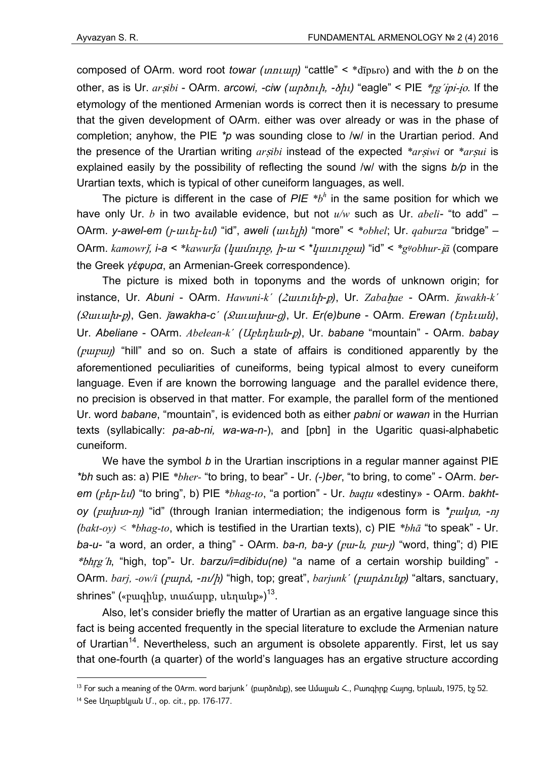composed of OArm. word root *towar (*տուար*)* "cattle" < \*dīpьro) and with the *b* on the other, as is Ur. *arsibi* - OArm. *arcowi, -ciw (μηδηλή, -δλι)* "eagle" < PIE \**rg'ipi-io*. If the etymology of the mentioned Armenian words is correct then it is necessary to presume that the given development of OArm. either was over already or was in the phase of completion; anyhow, the PIE *\*p* was sounding close to /w/ in the Urartian period. And the presence of the Urartian writing *ar*ṣ*ibi* instead of the expected *\*ar*ṣ*iwi* or *\*ar*ṣ*ui* is explained easily by the possibility of reflecting the sound /w/ with the signs *b/p* in the Urartian texts, which is typical of other cuneiform languages, as well.

The picture is different in the case of  $PIE * b^h$  in the same position for which we have only Ur. *b* in two available evidence, but not *u/w* such as Ur. *abeli-* "to add" – OArm. *y-awel-em (*յ*-*աւել*-*եմ*)* "id", *aweli (*աւելի*)* "more" < *\*obhel*; Ur. *qaburza* "bridge" – OArm. *kamowr*ǰ*, i-a < \*kawur*ǰ*a (*կամուրջ*,* ի*-*ա *< \**կաւուրջա*)* "id" < *\*g*ṷ*obhur-*į*ā* (compare the Greek *γέφυρα*, an Armenian-Greek correspondence).

The picture is mixed both in toponyms and the words of unknown origin; for instance, Ur. *Abuni* - OArm. *Hawuni-k´ (*Հաւունի*-*ք*)*, Ur. *Zaba*ḫ*ae* - OArm. ǰ*awakh-k´ (*Ջաւախ*-*ք*)*, Gen. ǰ*awakha-c´ (*Ջաւախա*-*ց*)*, Ur. *Er(e)bune* - OArm. *Erewan (*Երեւան*)*, Ur. *Abeliane* - OArm. *Abełean-k´ (*Աբեղեան*-*ք*)*, Ur. *babane* "mountain" - OArm. *babay (*բաբայ*)* "hill" and so on. Such a state of affairs is conditioned apparently by the aforementioned peculiarities of cuneiforms, being typical almost to every cuneiform language. Even if are known the borrowing language and the parallel evidence there, no precision is observed in that matter. For example, the parallel form of the mentioned Ur. word *babane*, "mountain", is evidenced both as either *pabni* or *wawan* in the Hurrian texts (syllabically: *pa-ab-ni, wa-wa-n-*), and [pbn] in the Ugaritic quasi-alphabetic cuneiform.

We have the symbol *b* in the Urartian inscriptions in a regular manner against PIE *\*bh* such as: a) PIE *\*bher-* "to bring, to bear" - Ur. *(-)ber*, "to bring, to come" - OArm. *ber*em ( $p\bar{t}$ <sub>*p*- $\bar{t}$ </sub> $\bar{u}$ ) "to bring", b) PIE \* $b$ *hag-to*, "a portion" - Ur. *baqtu* «destiny» - OArm. *bakhtoy (*բախտ*-*ոյ*)* "id" (through Iranian intermediation; the indigenous form is *\**բակտ*, -*ոյ *(bakt-oy) < \*bhag-to*, which is testified in the Urartian texts), c) PIE *\*bhā* "to speak" - Ur. *ba-u-* "a word, an order, a thing" - OArm. *ba-n, ba-y (*բա*-*ն*,* բա*-*յ*)* "word, thing"; d) PIE \*bhrg'h, "high, top"- Ur. barzu/*i=dibidu(ne)* "a name of a certain worship building" -OArm. *barj, -ow/i (*բարձ*, -*ու*/*ի*)* "high, top; great", *barjunk´ (*բարձունք*)* "altars, sanctuary, shrines" («բագինք, տաձարք, սեղանք») $^{13}$ .

Also, let's consider briefly the matter of Urartian as an ergative language since this fact is being accented frequently in the special literature to exclude the Armenian nature of Urartian<sup>14</sup>. Nevertheless, such an argument is obsolete apparently. First, let us say that one-fourth (a quarter) of the world's languages has an ergative structure according

<sup>13</sup> For such a meaning of the OArm. word barjunk' (pωηδηιάρ), see Ամալյան Հ., Բարգիրք Հայոց, Երևան, 1975, էջ 52.

<sup>14</sup> See Աղաբեկյան Մ., op. cit., pp. 176-177.